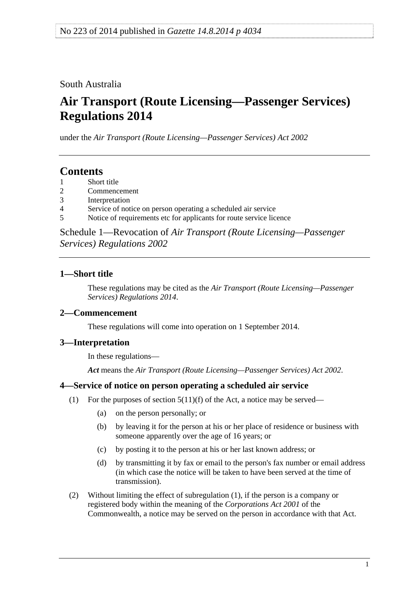### <span id="page-0-0"></span>South Australia

# **Air Transport (Route Licensing—Passenger Services) Regulations 2014**

under the *Air Transport (Route Licensing—Passenger Services) Act 2002*

## **Contents**

- [1 Short title](#page-0-0)
- [2 Commencement](#page-0-0)
- [3 Interpretation](#page-0-0)
- [4 Service of notice on person operating a scheduled air service](#page-0-0)
- [5 Notice of requirements etc for applicants for route service licence](#page-1-0)

Schedule 1—Revocation of *[Air Transport \(Route Licensing—Passenger](#page-1-0)  [Services\) Regulations 2002](#page-1-0)*

#### **1—Short title**

These regulations may be cited as the *Air Transport (Route Licensing—Passenger Services) Regulations 2014*.

#### **2—Commencement**

These regulations will come into operation on 1 September 2014.

#### **3—Interpretation**

In these regulations—

*Act* means the *[Air Transport \(Route Licensing—Passenger Services\) Act 2002](http://www.legislation.sa.gov.au/index.aspx?action=legref&type=act&legtitle=Air%20Transport%20(Route%20Licensing%E2%80%94Passenger%20Services)%20Act%202002)*.

#### **4—Service of notice on person operating a scheduled air service**

- (1) For the purposes of section  $5(11)(f)$  of the Act, a notice may be served—
	- (a) on the person personally; or
	- (b) by leaving it for the person at his or her place of residence or business with someone apparently over the age of 16 years; or
	- (c) by posting it to the person at his or her last known address; or
	- (d) by transmitting it by fax or email to the person's fax number or email address (in which case the notice will be taken to have been served at the time of transmission).
- (2) Without limiting the effect of [subregulation \(1\),](#page-0-0) if the person is a company or registered body within the meaning of the *Corporations Act 2001* of the Commonwealth, a notice may be served on the person in accordance with that Act.